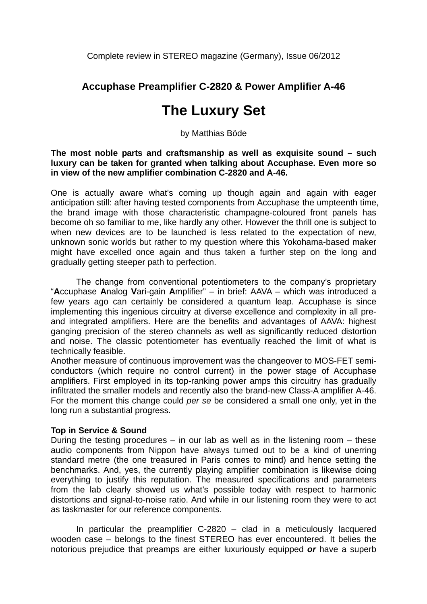Complete review in STEREO magazine (Germany), Issue 06/2012

# **Accuphase Preamplifier C-2820 & Power Amplifier A-46**

# **The Luxury Set**

by Matthias Böde

**The most noble parts and craftsmanship as well as exquisite sound – such luxury can be taken for granted when talking about Accuphase. Even more so in view of the new amplifier combination C-2820 and A-46.** 

One is actually aware what's coming up though again and again with eager anticipation still: after having tested components from Accuphase the umpteenth time, the brand image with those characteristic champagne-coloured front panels has become oh so familiar to me, like hardly any other. However the thrill one is subject to when new devices are to be launched is less related to the expectation of new, unknown sonic worlds but rather to my question where this Yokohama-based maker might have excelled once again and thus taken a further step on the long and gradually getting steeper path to perfection.

The change from conventional potentiometers to the company's proprietary "**A**ccuphase **A**nalog **V**ari-gain **A**mplifier" – in brief: AAVA – which was introduced a few years ago can certainly be considered a quantum leap. Accuphase is since implementing this ingenious circuitry at diverse excellence and complexity in all preand integrated amplifiers. Here are the benefits and advantages of AAVA: highest ganging precision of the stereo channels as well as significantly reduced distortion and noise. The classic potentiometer has eventually reached the limit of what is technically feasible.

Another measure of continuous improvement was the changeover to MOS-FET semiconductors (which require no control current) in the power stage of Accuphase amplifiers. First employed in its top-ranking power amps this circuitry has gradually infiltrated the smaller models and recently also the brand-new Class-A amplifier A-46. For the moment this change could *per se* be considered a small one only, yet in the long run a substantial progress.

## **Top in Service & Sound**

During the testing procedures – in our lab as well as in the listening room – these audio components from Nippon have always turned out to be a kind of unerring standard metre (the one treasured in Paris comes to mind) and hence setting the benchmarks. And, yes, the currently playing amplifier combination is likewise doing everything to justify this reputation. The measured specifications and parameters from the lab clearly showed us what's possible today with respect to harmonic distortions and signal-to-noise ratio. And while in our listening room they were to act as taskmaster for our reference components.

In particular the preamplifier C-2820 – clad in a meticulously lacquered wooden case – belongs to the finest STEREO has ever encountered. It belies the notorious prejudice that preamps are either luxuriously equipped *or* have a superb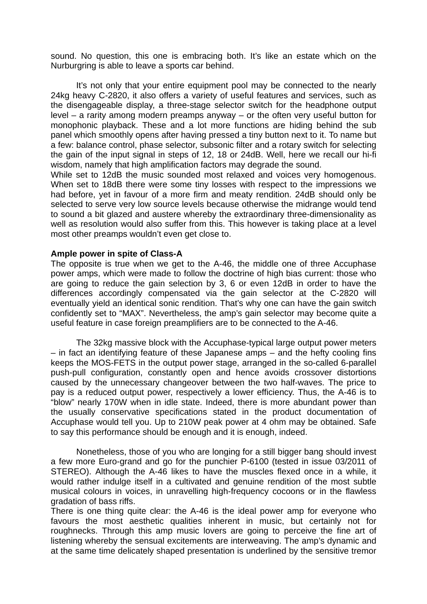sound. No question, this one is embracing both. It's like an estate which on the Nurburgring is able to leave a sports car behind.

It's not only that your entire equipment pool may be connected to the nearly 24kg heavy C-2820, it also offers a variety of useful features and services, such as the disengageable display, a three-stage selector switch for the headphone output level – a rarity among modern preamps anyway – or the often very useful button for monophonic playback. These and a lot more functions are hiding behind the sub panel which smoothly opens after having pressed a tiny button next to it. To name but a few: balance control, phase selector, subsonic filter and a rotary switch for selecting the gain of the input signal in steps of 12, 18 or 24dB. Well, here we recall our hi-fi wisdom, namely that high amplification factors may degrade the sound.

While set to 12dB the music sounded most relaxed and voices very homogenous. When set to 18dB there were some tiny losses with respect to the impressions we had before, yet in favour of a more firm and meaty rendition. 24dB should only be selected to serve very low source levels because otherwise the midrange would tend to sound a bit glazed and austere whereby the extraordinary three-dimensionality as well as resolution would also suffer from this. This however is taking place at a level most other preamps wouldn't even get close to.

### **Ample power in spite of Class-A**

The opposite is true when we get to the A-46, the middle one of three Accuphase power amps, which were made to follow the doctrine of high bias current: those who are going to reduce the gain selection by 3, 6 or even 12dB in order to have the differences accordingly compensated via the gain selector at the C-2820 will eventually yield an identical sonic rendition. That's why one can have the gain switch confidently set to "MAX". Nevertheless, the amp's gain selector may become quite a useful feature in case foreign preamplifiers are to be connected to the A-46.

 The 32kg massive block with the Accuphase-typical large output power meters – in fact an identifying feature of these Japanese amps – and the hefty cooling fins keeps the MOS-FETS in the output power stage, arranged in the so-called 6-parallel push-pull configuration, constantly open and hence avoids crossover distortions caused by the unnecessary changeover between the two half-waves. The price to pay is a reduced output power, respectively a lower efficiency. Thus, the A-46 is to "blow" nearly 170W when in idle state. Indeed, there is more abundant power than the usually conservative specifications stated in the product documentation of Accuphase would tell you. Up to 210W peak power at 4 ohm may be obtained. Safe to say this performance should be enough and it is enough, indeed.

Nonetheless, those of you who are longing for a still bigger bang should invest a few more Euro-grand and go for the punchier P-6100 (tested in issue 03/2011 of STEREO). Although the A-46 likes to have the muscles flexed once in a while, it would rather indulge itself in a cultivated and genuine rendition of the most subtle musical colours in voices, in unravelling high-frequency cocoons or in the flawless gradation of bass riffs.

There is one thing quite clear: the A-46 is the ideal power amp for everyone who favours the most aesthetic qualities inherent in music, but certainly not for roughnecks. Through this amp music lovers are going to perceive the fine art of listening whereby the sensual excitements are interweaving. The amp's dynamic and at the same time delicately shaped presentation is underlined by the sensitive tremor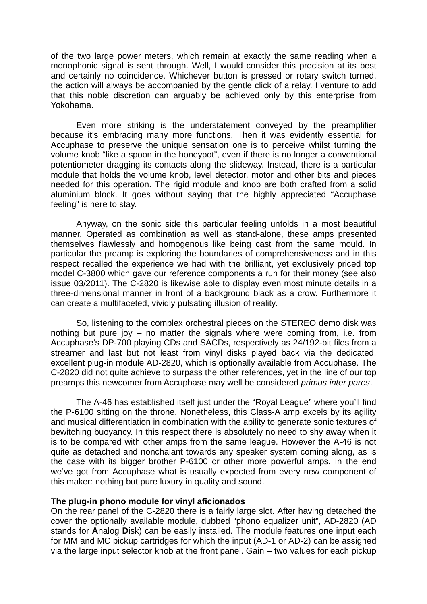of the two large power meters, which remain at exactly the same reading when a monophonic signal is sent through. Well, I would consider this precision at its best and certainly no coincidence. Whichever button is pressed or rotary switch turned, the action will always be accompanied by the gentle click of a relay. I venture to add that this noble discretion can arguably be achieved only by this enterprise from Yokohama.

 Even more striking is the understatement conveyed by the preamplifier because it's embracing many more functions. Then it was evidently essential for Accuphase to preserve the unique sensation one is to perceive whilst turning the volume knob "like a spoon in the honeypot", even if there is no longer a conventional potentiometer dragging its contacts along the slideway. Instead, there is a particular module that holds the volume knob, level detector, motor and other bits and pieces needed for this operation. The rigid module and knob are both crafted from a solid aluminium block. It goes without saying that the highly appreciated "Accuphase feeling" is here to stay.

 Anyway, on the sonic side this particular feeling unfolds in a most beautiful manner. Operated as combination as well as stand-alone, these amps presented themselves flawlessly and homogenous like being cast from the same mould. In particular the preamp is exploring the boundaries of comprehensiveness and in this respect recalled the experience we had with the brilliant, yet exclusively priced top model C-3800 which gave our reference components a run for their money (see also issue 03/2011). The C-2820 is likewise able to display even most minute details in a three-dimensional manner in front of a background black as a crow. Furthermore it can create a multifaceted, vividly pulsating illusion of reality.

 So, listening to the complex orchestral pieces on the STEREO demo disk was nothing but pure joy – no matter the signals where were coming from, i.e. from Accuphase's DP-700 playing CDs and SACDs, respectively as 24/192-bit files from a streamer and last but not least from vinyl disks played back via the dedicated, excellent plug-in module AD-2820, which is optionally available from Accuphase. The C-2820 did not quite achieve to surpass the other references, yet in the line of our top preamps this newcomer from Accuphase may well be considered *primus inter pares*.

 The A-46 has established itself just under the "Royal League" where you'll find the P-6100 sitting on the throne. Nonetheless, this Class-A amp excels by its agility and musical differentiation in combination with the ability to generate sonic textures of bewitching buoyancy. In this respect there is absolutely no need to shy away when it is to be compared with other amps from the same league. However the A-46 is not quite as detached and nonchalant towards any speaker system coming along, as is the case with its bigger brother P-6100 or other more powerful amps. In the end we've got from Accuphase what is usually expected from every new component of this maker: nothing but pure luxury in quality and sound.

#### **The plug-in phono module for vinyl aficionados**

On the rear panel of the C-2820 there is a fairly large slot. After having detached the cover the optionally available module, dubbed "phono equalizer unit", AD-2820 (AD stands for **A**nalog **D**isk) can be easily installed. The module features one input each for MM and MC pickup cartridges for which the input (AD-1 or AD-2) can be assigned via the large input selector knob at the front panel. Gain – two values for each pickup